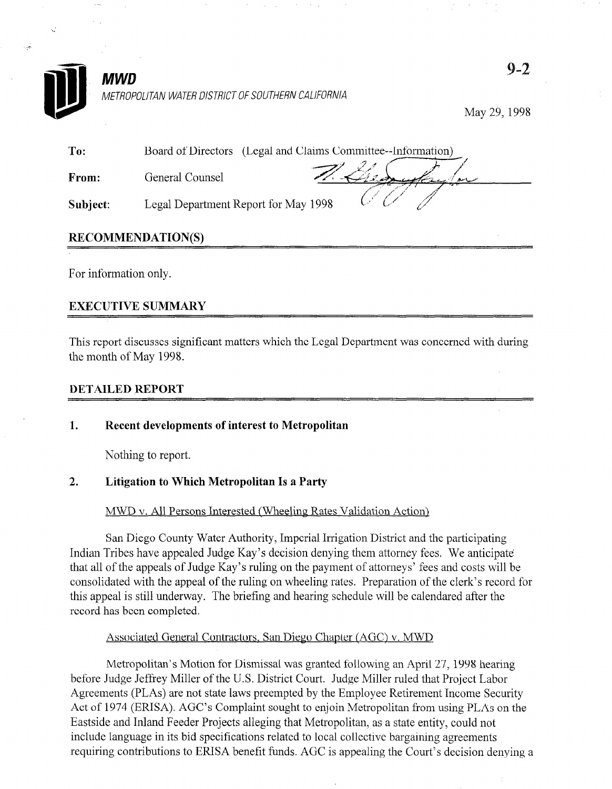

# **MWD** METROPOLITAN WATER DISTRICT OF SOUTHERN CALIFORNIA

May 29,199s

| To:      | Board of Directors (Legal and Claims Committee--Information) |  |
|----------|--------------------------------------------------------------|--|
| From:    | General Counsel                                              |  |
| Subject: | Legal Department Report for May 1998                         |  |

# RECOMMENDATION(S)

For information only.

# EXECUTIVE SUMMARY

This report discusses significant matters which the Legal Department was concerned with during the month of May 1998.

## DETAILED REPORT

## 1. Recent developments of interest to Metropolitan

Nothing to report.

San Diego County Water Authority, Imperial Irrigation District and the participating Indian Tribes have appealed Judge Kay's decision denying them attorney fees. We anticipate that all of the appeals of Judge Kay's ruling on the payment of attorneys' fees and costs will be consolidated with the appeal of the ruling on wheeling rates. Preparation of the clerk's record for this appeal is still underway. The briefing and hearing schedule will be calendared after the record has been completed.

### Associated General Contractors, San Diego Chapter (AGC) v. MWD

Metropolitan's Motion for Dismissal was granted following an April 27, 1998 hearing before Judge Jeffrey Miller of the U.S. District Court. Judge Miller ruled that Project Labor Agreements (PLAs) are not state laws preempted by the Employee Retirement Income Security Act of 1974 (ERISA). AGC's Complaint sought to enjoin Metropolitan from using PLAs on the Eastside and Inland Feeder Projects alleging that Metropolitan, as a state entity, could not include language in its bid specifications related to local collective bargaining agreements requiring contributions to ERISA benefit funds. AGC is appealing the Court's decision denying a

Metropolitan's Motion for Dismissal was granted following an April 27, 1998 hearing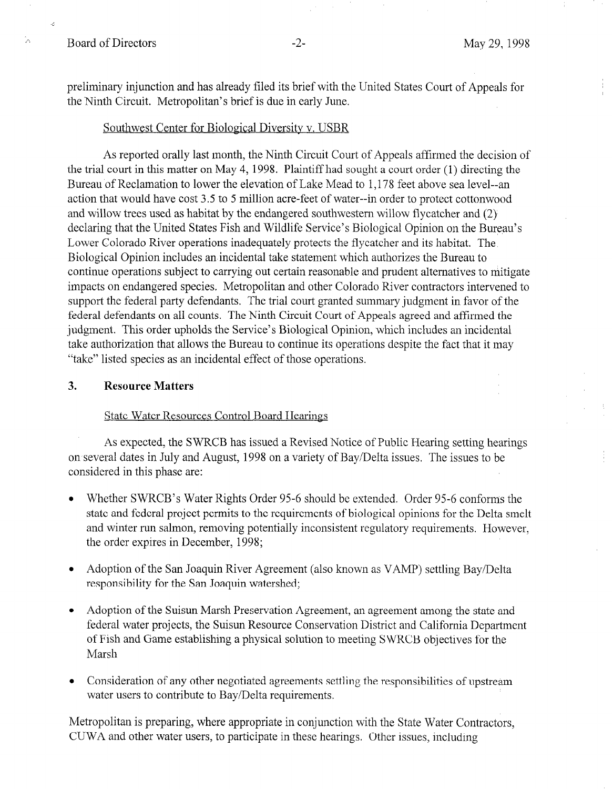k.

W

preliminary injunction and has already filed its brief with the United States Court of Appeals for the Ninth Circuit. Metropolitan's brief is due in early June.

### Southwest Center for Biological Diversity v. USBR

As reported orally last month, the Ninth Circuit Court of Appeals affirmed the decision of the trial court in this matter on May 4, 1998. Plaintiff had sought a court order (1) directing the Bureau of Reclamation to lower the elevation of Lake Mead to 1,178 feet above sea level--an action that would have cost 3.5 to 5 million acre-feet of water--in order to protect cottonwood and willow trees used as habitat by the endangered southwestern willow flycatcher and (2) declaring that the United States Fish and Wildlife Service's Biological Opinion on the Bureau's Lower Colorado River operations inadequately protects the flycatcher and its habitat. The Biological Opinion includes an'incidental take statement which authorizes the Bureau to continue operations subject to carrying out certain reasonable and prudent alternatives to mitigate impacts on endangered species. Metropolitan and other Colorado River contractors intervened to support the federal party defendants. The trial court granted summary judgment in favor of the federal defendants on all counts. The Ninth Circuit Court of Appeals agreed and affirmed the judgment. This order upholds the Service's Biological Opinion, which includes an incidental take authorization that allows the Bureau to continue its operations despite the fact that it may "take" listed species as an incidental effect of those operations.

### 3. Resource Matters

#### State Water Resources Control Board Hearings

 $\mathcal{A}$ s expected, the SWRCB has issued a Revised Notice of Public Hearing setting hearing setting hearing setting hearing setting hearing setting hearing setting hearing setting hearing setting hearing setting hearing s As expected, the 3 WKCD has issued a Kevised induce of Fubile fiearing setting hear on several dates in July and August, 1998 on a variety of Bay/Delta issues. The issues to be considered in this phase are:

- <sup>l</sup>Whether SWRCB's Water Rights Order 95-6 should be extended. Order 95-6 conforms the whether  $\sim$  with  $\sim$  state regins of the  $\sim$  5-6 should be extended. Order  $\sim$  5-6 comorms the state and federal project permits to the requirements of biological opinions for the Delta smelt and winter run salmon, removing potentially inconsistent regulatory requirements. However, the order expires in December, 1998;
- $\bullet$ Adoption of the San Joaquin River Agreeme;
- federal Adoption of the Suisun Marsh Preservation Agreement, an agreement among the state and  $\bullet$ federal water projects, the Suisun Resource Conservation District and California Department of Fish and Game establishing a physical solution to meeting SWRCB objectives for the Marsh
- Consideration of any other negotiated agreements settling the responsibilities of upstream  $\bullet$ water users to contribute to Bay/Delta requirements.

Metropolitan is preparing, where appropriate in conjunction with the State Water Contractors, CUWA and other water users, to participate in these hearings. Other issues, including